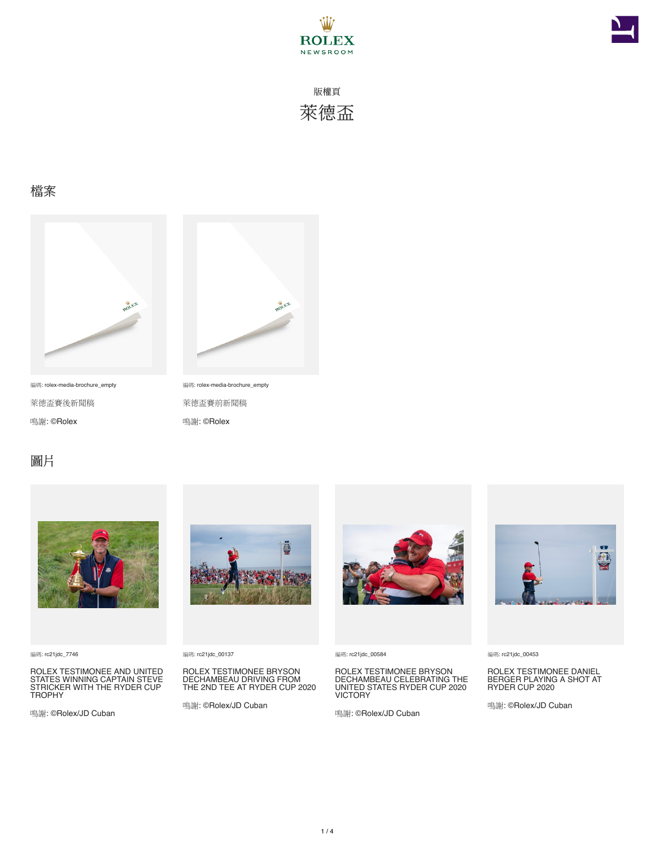



#### 檔案



編碼: rolex-media-brochure\_empty 萊德盃賽後新聞稿 鳴謝: ©Rolex



編碼: rolex-media-brochure\_empty 萊德盃賽前新聞稿 鳴謝: ©Rolex

### 圖片



編碼: rc21jdc\_7746

ROLEX TESTIMONEE AND UNITED STATES WINNING CAPTAIN STEVE STRICKER WITH THE RYDER CUP TROPHY

鳴謝: ©Rolex/JD Cuban



編碼: rc21jdc\_00137

ROLEX TESTIMONEE BRYSON DECHAMBEAU DRIVING FROM THE 2ND TEE AT RYDER CUP 2020

鳴謝: ©Rolex/JD Cuban



編碼: rc21jdc\_00584

ROLEX TESTIMONEE BRYSON DECHAMBEAU CELEBRATING THE UNITED STATES RYDER CUP 2020 VICTORY

鳴謝: ©Rolex/JD Cuban



編碼: rc21jdc\_00453

ROLEX TESTIMONEE DANIEL BERGER PLAYING A SHOT AT RYDER CUP 2020

鳴謝: ©Rolex/JD Cuban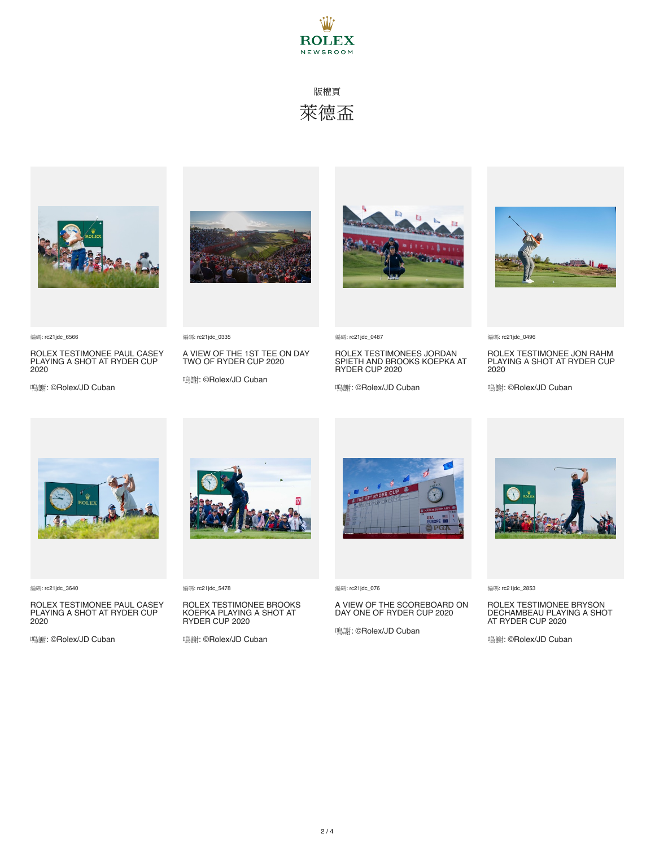







編碼: rc21jdc\_6566

ROLEX TESTIMONEE PAUL CASEY PLAYING A SHOT AT RYDER CUP 2020

鳴謝: ©Rolex/JD Cuban

編碼: rc21jdc\_0335

A VIEW OF THE 1ST TEE ON DAY TWO OF RYDER CUP 2020

鳴謝: ©Rolex/JD Cuban



編碼: rc21jdc\_0487

ROLEX TESTIMONEES JORDAN SPIETH AND BROOKS KOEPKA AT RYDER CUP 2020

鳴謝: ©Rolex/JD Cuban



編碼: rc21jdc\_0496

ROLEX TESTIMONEE JON RAHM PLAYING A SHOT AT RYDER CUP 2020

鳴謝: ©Rolex/JD Cuban



編碼: rc21jdc\_3640

ROLEX TESTIMONEE PAUL CASEY PLAYING A SHOT AT RYDER CUP 2020

鳴謝: ©Rolex/JD Cuban



編碼: rc21jdc\_5478

# ROLEX TESTIMONEE BROOKS KOEPKA PLAYING A SHOT AT RYDER CUP 2020

鳴謝: ©Rolex/JD Cuban



編碼: rc21jdc\_076

## A VIEW OF THE SCOREBOARD ON DAY ONE OF RYDER CUP 2020

鳴謝: ©Rolex/JD Cuban



編碼: rc21jdc\_2853

#### ROLEX TESTIMONEE BRYSON DECHAMBEAU PLAYING A SHOT AT RYDER CUP 2020

鳴謝: ©Rolex/JD Cuban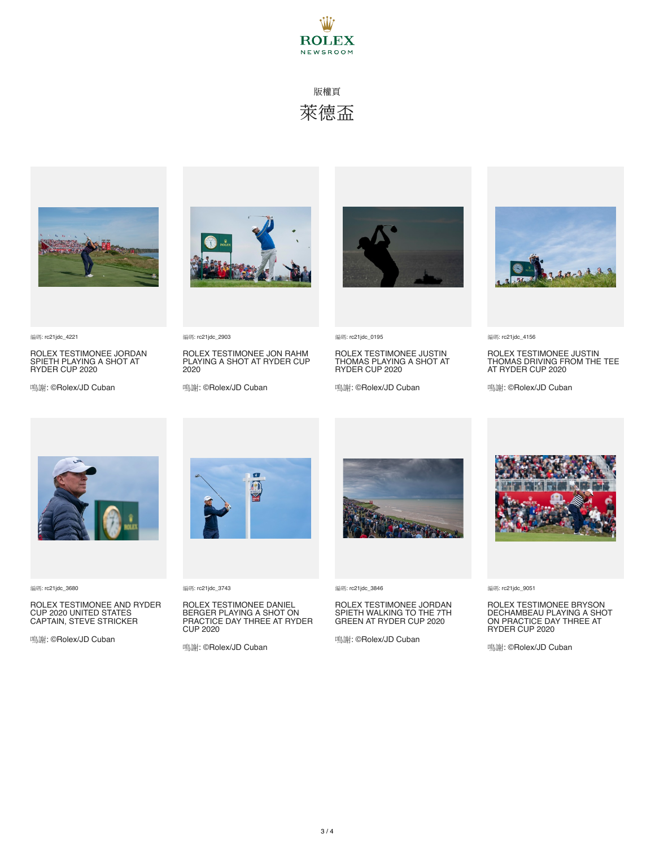



編碼: rc21jdc\_4221

ROLEX TESTIMONEE JORDAN SPIETH PLAYING A SHOT AT RYDER CUP 2020

鳴謝: ©Rolex/JD Cuban



編碼: rc21jdc\_2903

ROLEX TESTIMONEE JON RAHM PLAYING A SHOT AT RYDER CUP 2020

鳴謝: ©Rolex/JD Cuban



編碼: rc21jdc\_0195

ROLEX TESTIMONEE JUSTIN THOMAS PLAYING A SHOT AT RYDER CUP 2020

鳴謝: ©Rolex/JD Cuban



編碼: rc21jdc\_4156

ROLEX TESTIMONEE JUSTIN THOMAS DRIVING FROM THE TEE AT RYDER CUP 2020

鳴謝: ©Rolex/JD Cuban



編碼: rc21jdc\_3680

#### ROLEX TESTIMONEE AND RYDER CUP 2020 UNITED STATES CAPTAIN, STEVE STRICKER

鳴謝: ©Rolex/JD Cuban



編碼: rc21jdc\_3743

### ROLEX TESTIMONEE DANIEL BERGER PLAYING A SHOT ON PRACTICE DAY THREE AT RYDER CUP 2020

鳴謝: ©Rolex/JD Cuban



編碼: rc21jdc\_3846

#### ROLEX TESTIMONEE JORDAN SPIETH WALKING TO THE 7TH GREEN AT RYDER CUP 2020

鳴謝: ©Rolex/JD Cuban



編碼: rc21jdc\_9051

### ROLEX TESTIMONEE BRYSON DECHAMBEAU PLAYING A SHOT ON PRACTICE DAY THREE AT RYDER CUP 2020

鳴謝: ©Rolex/JD Cuban